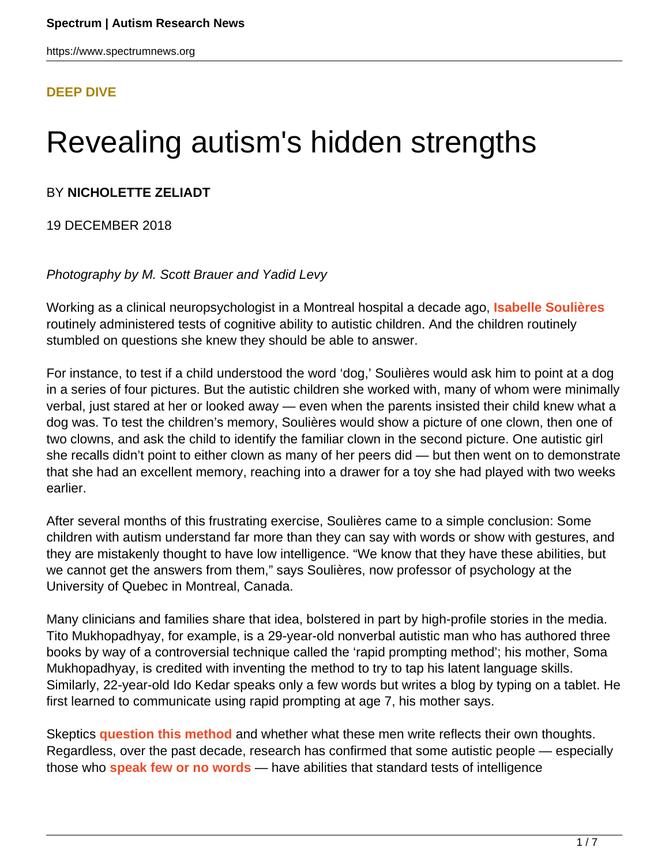#### **[DEEP DIVE](HTTPS://WWW.SPECTRUMNEWS.ORG/FEATURES/DEEP-DIVE/)**

# Revealing autism's hidden strengths

#### BY **NICHOLETTE ZELIADT**

19 DECEMBER 2018

#### Photography by M. Scott Brauer and Yadid Levy

Working as a clinical neuropsychologist in a Montreal hospital a decade ago, **[Isabelle Soulières](http://professeurs.uqam.ca/component/savrepertoireprofesseurs/ficheProfesseur?mId=SgNrnsiefrc_)** routinely administered tests of cognitive ability to autistic children. And the children routinely stumbled on questions she knew they should be able to answer.

For instance, to test if a child understood the word 'dog,' Soulières would ask him to point at a dog in a series of four pictures. But the autistic children she worked with, many of whom were minimally verbal, just stared at her or looked away — even when the parents insisted their child knew what a dog was. To test the children's memory, Soulières would show a picture of one clown, then one of two clowns, and ask the child to identify the familiar clown in the second picture. One autistic girl she recalls didn't point to either clown as many of her peers did — but then went on to demonstrate that she had an excellent memory, reaching into a drawer for a toy she had played with two weeks earlier.

After several months of this frustrating exercise, Soulières came to a simple conclusion: Some children with autism understand far more than they can say with words or show with gestures, and they are mistakenly thought to have low intelligence. "We know that they have these abilities, but we cannot get the answers from them," says Soulières, now professor of psychology at the University of Quebec in Montreal, Canada.

Many clinicians and families share that idea, bolstered in part by high-profile stories in the media. Tito Mukhopadhyay, for example, is a 29-year-old nonverbal autistic man who has authored three books by way of a controversial technique called the 'rapid prompting method'; his mother, Soma Mukhopadhyay, is credited with inventing the method to try to tap his latent language skills. Similarly, 22-year-old Ido Kedar speaks only a few words but writes a blog by typing on a tablet. He first learned to communicate using rapid prompting at age 7, his mother says.

Skeptics **[question this method](https://www.asha.org/policy/ps2018-00351/)** and whether what these men write reflects their own thoughts. Regardless, over the past decade, research has confirmed that some autistic people — especially those who **[speak few or no words](https://www.spectrumnews.org/news/words-say-little-cognitive-abilities-autism/)** — have abilities that standard tests of intelligence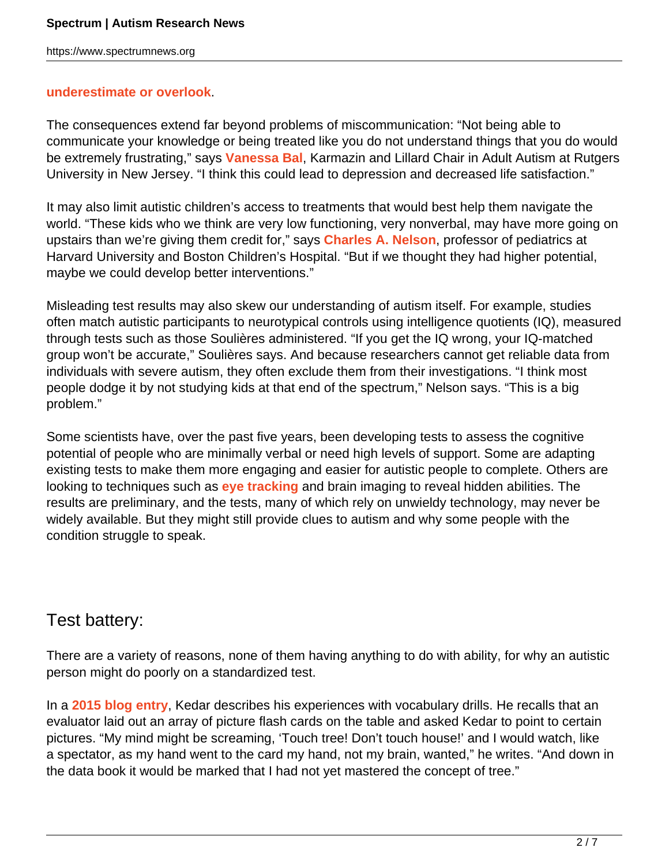#### **[underestimate or overlook](https://www.spectrumnews.org/opinion/standard-tests-underestimate-nonverbal-children-with-autism/)**.

The consequences extend far beyond problems of miscommunication: "Not being able to communicate your knowledge or being treated like you do not understand things that you do would be extremely frustrating," says **[Vanessa Bal](https://www.spectrumnews.org/news/profiles/rising-star-vanessa-bal-traverses-fine-work-life-balance/)**, Karmazin and Lillard Chair in Adult Autism at Rutgers University in New Jersey. "I think this could lead to depression and decreased life satisfaction."

It may also limit autistic children's access to treatments that would best help them navigate the world. "These kids who we think are very low functioning, very nonverbal, may have more going on upstairs than we're giving them credit for," says **[Charles A. Nelson](https://www.spectrumnews.org/news/profiles/charles-nelson-searching-for-early-signs-of-autism/)**, professor of pediatrics at Harvard University and Boston Children's Hospital. "But if we thought they had higher potential, maybe we could develop better interventions."

Misleading test results may also skew our understanding of autism itself. For example, studies often match autistic participants to neurotypical controls using intelligence quotients (IQ), measured through tests such as those Soulières administered. "If you get the IQ wrong, your IQ-matched group won't be accurate," Soulières says. And because researchers cannot get reliable data from individuals with severe autism, they often exclude them from their investigations. "I think most people dodge it by not studying kids at that end of the spectrum," Nelson says. "This is a big problem."

Some scientists have, over the past five years, been developing tests to assess the cognitive potential of people who are minimally verbal or need high levels of support. Some are adapting existing tests to make them more engaging and easier for autistic people to complete. Others are looking to techniques such as **[eye tracking](http://spectrumnews.org/wiki/eye-tracking)** and brain imaging to reveal hidden abilities. The results are preliminary, and the tests, many of which rely on unwieldy technology, may never be widely available. But they might still provide clues to autism and why some people with the condition struggle to speak.

### Test battery:

There are a variety of reasons, none of them having anything to do with ability, for why an autistic person might do poorly on a standardized test.

In a **[2015 blog entry](http://idoinautismland.com/?p=376)**, Kedar describes his experiences with vocabulary drills. He recalls that an evaluator laid out an array of picture flash cards on the table and asked Kedar to point to certain pictures. "My mind might be screaming, 'Touch tree! Don't touch house!' and I would watch, like a spectator, as my hand went to the card my hand, not my brain, wanted," he writes. "And down in the data book it would be marked that I had not yet mastered the concept of tree."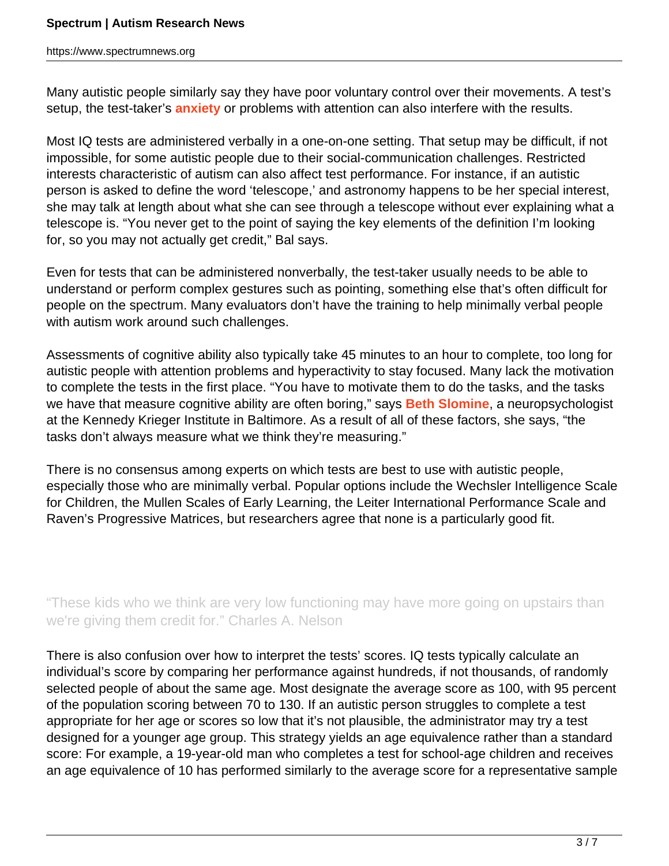Many autistic people similarly say they have poor voluntary control over their movements. A test's setup, the test-taker's **[anxiety](https://www.spectrumnews.org/features/deep-dive/unmasking-anxiety-autism/)** or problems with attention can also interfere with the results.

Most IQ tests are administered verbally in a one-on-one setting. That setup may be difficult, if not impossible, for some autistic people due to their social-communication challenges. Restricted interests characteristic of autism can also affect test performance. For instance, if an autistic person is asked to define the word 'telescope,' and astronomy happens to be her special interest, she may talk at length about what she can see through a telescope without ever explaining what a telescope is. "You never get to the point of saying the key elements of the definition I'm looking for, so you may not actually get credit," Bal says.

Even for tests that can be administered nonverbally, the test-taker usually needs to be able to understand or perform complex gestures such as pointing, something else that's often difficult for people on the spectrum. Many evaluators don't have the training to help minimally verbal people with autism work around such challenges.

Assessments of cognitive ability also typically take 45 minutes to an hour to complete, too long for autistic people with attention problems and hyperactivity to stay focused. Many lack the motivation to complete the tests in the first place. "You have to motivate them to do the tasks, and the tasks we have that measure cognitive ability are often boring," says **[Beth Slomine](https://www.kennedykrieger.org/patient-care/faculty-staff/beth-slomine)**, a neuropsychologist at the Kennedy Krieger Institute in Baltimore. As a result of all of these factors, she says, "the tasks don't always measure what we think they're measuring."

There is no consensus among experts on which tests are best to use with autistic people, especially those who are minimally verbal. Popular options include the Wechsler Intelligence Scale for Children, the Mullen Scales of Early Learning, the Leiter International Performance Scale and Raven's Progressive Matrices, but researchers agree that none is a particularly good fit.

"These kids who we think are very low functioning may have more going on upstairs than we're giving them credit for." Charles A. Nelson

There is also confusion over how to interpret the tests' scores. IQ tests typically calculate an individual's score by comparing her performance against hundreds, if not thousands, of randomly selected people of about the same age. Most designate the average score as 100, with 95 percent of the population scoring between 70 to 130. If an autistic person struggles to complete a test appropriate for her age or scores so low that it's not plausible, the administrator may try a test designed for a younger age group. This strategy yields an age equivalence rather than a standard score: For example, a 19-year-old man who completes a test for school-age children and receives an age equivalence of 10 has performed similarly to the average score for a representative sample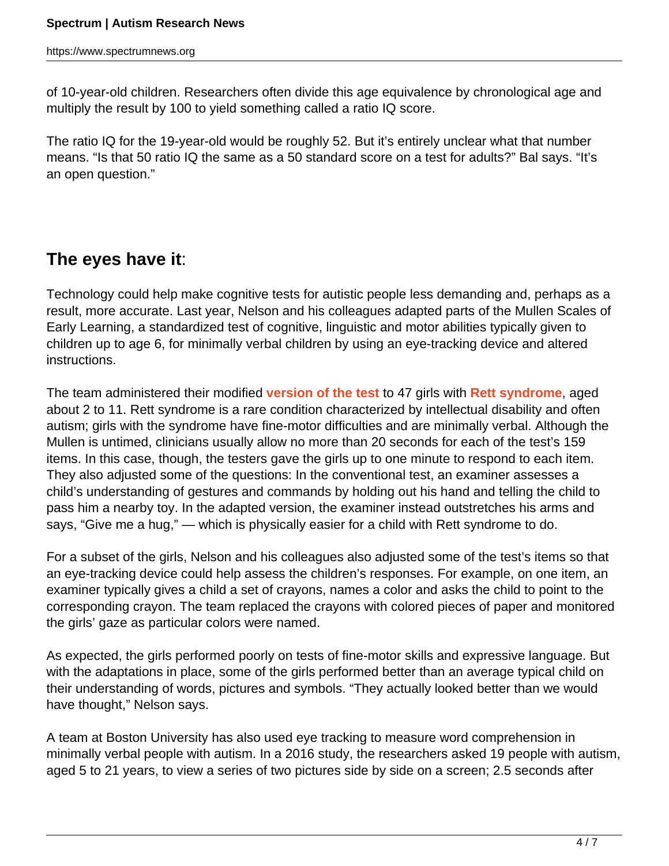of 10-year-old children. Researchers often divide this age equivalence by chronological age and multiply the result by 100 to yield something called a ratio IQ score.

The ratio IQ for the 19-year-old would be roughly 52. But it's entirely unclear what that number means. "Is that 50 ratio IQ the same as a 50 standard score on a test for adults?" Bal says. "It's an open question."

## **The eyes have it**:

Technology could help make cognitive tests for autistic people less demanding and, perhaps as a result, more accurate. Last year, Nelson and his colleagues adapted parts of the Mullen Scales of Early Learning, a standardized test of cognitive, linguistic and motor abilities typically given to children up to age 6, for minimally verbal children by using an eye-tracking device and altered instructions.

The team administered their modified **[version of the test](https://www.ncbi.nlm.nih.gov/pubmed/29194024)** to 47 girls with **[Rett syndrome](https://www.spectrumnews.org/wiki/rett-syndrome/)**, aged about 2 to 11. Rett syndrome is a rare condition characterized by intellectual disability and often autism; girls with the syndrome have fine-motor difficulties and are minimally verbal. Although the Mullen is untimed, clinicians usually allow no more than 20 seconds for each of the test's 159 items. In this case, though, the testers gave the girls up to one minute to respond to each item. They also adjusted some of the questions: In the conventional test, an examiner assesses a child's understanding of gestures and commands by holding out his hand and telling the child to pass him a nearby toy. In the adapted version, the examiner instead outstretches his arms and says, "Give me a hug," — which is physically easier for a child with Rett syndrome to do.

For a subset of the girls, Nelson and his colleagues also adjusted some of the test's items so that an eye-tracking device could help assess the children's responses. For example, on one item, an examiner typically gives a child a set of crayons, names a color and asks the child to point to the corresponding crayon. The team replaced the crayons with colored pieces of paper and monitored the girls' gaze as particular colors were named.

As expected, the girls performed poorly on tests of fine-motor skills and expressive language. But with the adaptations in place, some of the girls performed better than an average typical child on their understanding of words, pictures and symbols. "They actually looked better than we would have thought," Nelson says.

A team at Boston University has also used eye tracking to measure word comprehension in minimally verbal people with autism. In a 2016 study, the researchers asked 19 people with autism, aged 5 to 21 years, to view a series of two pictures side by side on a screen; 2.5 seconds after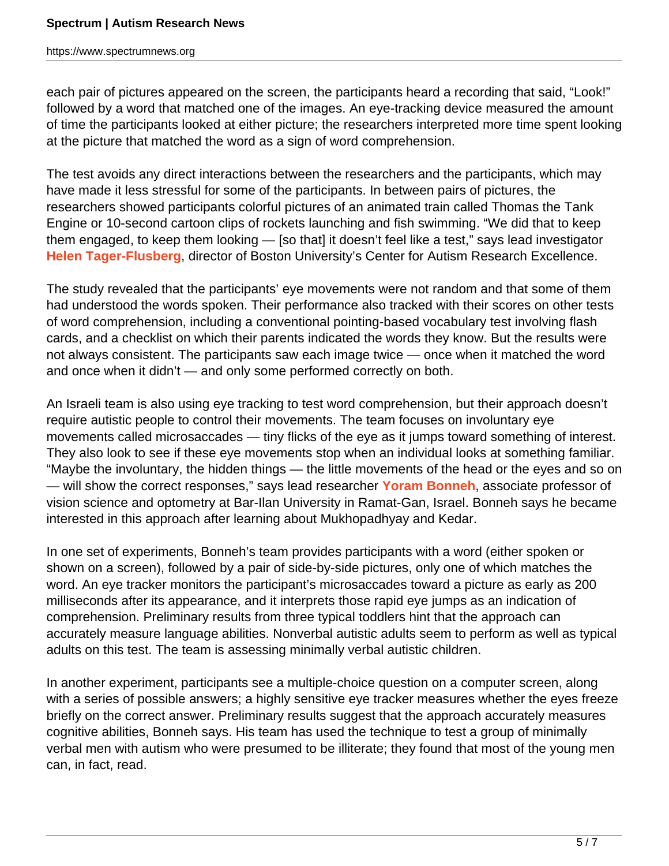each pair of pictures appeared on the screen, the participants heard a recording that said, "Look!" followed by a word that matched one of the images. An eye-tracking device measured the amount of time the participants looked at either picture; the researchers interpreted more time spent looking at the picture that matched the word as a sign of word comprehension.

The test avoids any direct interactions between the researchers and the participants, which may have made it less stressful for some of the participants. In between pairs of pictures, the researchers showed participants colorful pictures of an animated train called Thomas the Tank Engine or 10-second cartoon clips of rockets launching and fish swimming. "We did that to keep them engaged, to keep them looking — [so that] it doesn't feel like a test," says lead investigator **[Helen Tager-Flusberg](https://www.spectrumnews.org/news/profiles/helen-tager-flusberg-decoding-the-language-of-autism/)**, director of Boston University's Center for Autism Research Excellence.

The study revealed that the participants' eye movements were not random and that some of them had understood the words spoken. Their performance also tracked with their scores on other tests of word comprehension, including a conventional pointing-based vocabulary test involving flash cards, and a checklist on which their parents indicated the words they know. But the results were not always consistent. The participants saw each image twice — once when it matched the word and once when it didn't — and only some performed correctly on both.

An Israeli team is also using eye tracking to test word comprehension, but their approach doesn't require autistic people to control their movements. The team focuses on involuntary eye movements called microsaccades — tiny flicks of the eye as it jumps toward something of interest. They also look to see if these eye movements stop when an individual looks at something familiar. "Maybe the involuntary, the hidden things — the little movements of the head or the eyes and so on — will show the correct responses," says lead researcher **[Yoram Bonneh](http://yorambonneh.wixsite.com/bonneh-lab)**, associate professor of vision science and optometry at Bar-Ilan University in Ramat-Gan, Israel. Bonneh says he became interested in this approach after learning about Mukhopadhyay and Kedar.

In one set of experiments, Bonneh's team provides participants with a word (either spoken or shown on a screen), followed by a pair of side-by-side pictures, only one of which matches the word. An eye tracker monitors the participant's microsaccades toward a picture as early as 200 milliseconds after its appearance, and it interprets those rapid eye jumps as an indication of comprehension. Preliminary results from three typical toddlers hint that the approach can accurately measure language abilities. Nonverbal autistic adults seem to perform as well as typical adults on this test. The team is assessing minimally verbal autistic children.

In another experiment, participants see a multiple-choice question on a computer screen, along with a series of possible answers; a highly sensitive eye tracker measures whether the eyes freeze briefly on the correct answer. Preliminary results suggest that the approach accurately measures cognitive abilities, Bonneh says. His team has used the technique to test a group of minimally verbal men with autism who were presumed to be illiterate; they found that most of the young men can, in fact, read.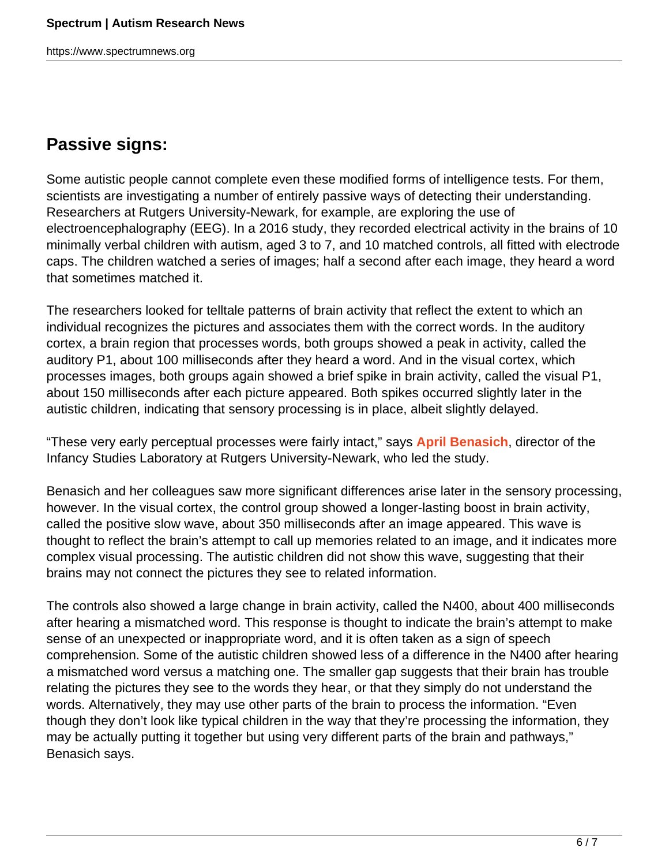## **Passive signs:**

Some autistic people cannot complete even these modified forms of intelligence tests. For them, scientists are investigating a number of entirely passive ways of detecting their understanding. Researchers at Rutgers University-Newark, for example, are exploring the use of electroencephalography (EEG). In a 2016 study, they recorded electrical activity in the brains of 10 minimally verbal children with autism, aged 3 to 7, and 10 matched controls, all fitted with electrode caps. The children watched a series of images; half a second after each image, they heard a word that sometimes matched it.

The researchers looked for telltale patterns of brain activity that reflect the extent to which an individual recognizes the pictures and associates them with the correct words. In the auditory cortex, a brain region that processes words, both groups showed a peak in activity, called the auditory P1, about 100 milliseconds after they heard a word. And in the visual cortex, which processes images, both groups again showed a brief spike in brain activity, called the visual P1, about 150 milliseconds after each picture appeared. Both spikes occurred slightly later in the autistic children, indicating that sensory processing is in place, albeit slightly delayed.

"These very early perceptual processes were fairly intact," says **[April Benasich](https://www.newark.rutgers.edu/april-benasich)**, director of the Infancy Studies Laboratory at Rutgers University-Newark, who led the study.

Benasich and her colleagues saw more significant differences arise later in the sensory processing, however. In the visual cortex, the control group showed a longer-lasting boost in brain activity, called the positive slow wave, about 350 milliseconds after an image appeared. This wave is thought to reflect the brain's attempt to call up memories related to an image, and it indicates more complex visual processing. The autistic children did not show this wave, suggesting that their brains may not connect the pictures they see to related information.

The controls also showed a large change in brain activity, called the N400, about 400 milliseconds after hearing a mismatched word. This response is thought to indicate the brain's attempt to make sense of an unexpected or inappropriate word, and it is often taken as a sign of speech comprehension. Some of the autistic children showed less of a difference in the N400 after hearing a mismatched word versus a matching one. The smaller gap suggests that their brain has trouble relating the pictures they see to the words they hear, or that they simply do not understand the words. Alternatively, they may use other parts of the brain to process the information. "Even though they don't look like typical children in the way that they're processing the information, they may be actually putting it together but using very different parts of the brain and pathways," Benasich says.